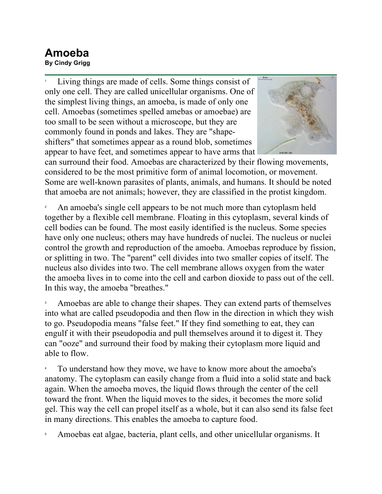## **Amoeba**

**By Cindy Grigg**

1 Living things are made of cells. Some things consist of only one cell. They are called unicellular organisms. One of the simplest living things, an amoeba, is made of only one cell. Amoebas (sometimes spelled amebas or amoebae) are too small to be seen without a microscope, but they are commonly found in ponds and lakes. They are "shapeshifters" that sometimes appear as a round blob, sometimes appear to have feet, and sometimes appear to have arms that



can surround their food. Amoebas are characterized by their flowing movements, considered to be the most primitive form of animal locomotion, or movement. Some are well-known parasites of plants, animals, and humans. It should be noted that amoeba are not animals; however, they are classified in the protist kingdom.

2 An amoeba's single cell appears to be not much more than cytoplasm held together by a flexible cell membrane. Floating in this cytoplasm, several kinds of cell bodies can be found. The most easily identified is the nucleus. Some species have only one nucleus; others may have hundreds of nuclei. The nucleus or nuclei control the growth and reproduction of the amoeba. Amoebas reproduce by fission, or splitting in two. The "parent" cell divides into two smaller copies of itself. The nucleus also divides into two. The cell membrane allows oxygen from the water the amoeba lives in to come into the cell and carbon dioxide to pass out of the cell. In this way, the amoeba "breathes."

3 Amoebas are able to change their shapes. They can extend parts of themselves into what are called pseudopodia and then flow in the direction in which they wish to go. Pseudopodia means "false feet." If they find something to eat, they can engulf it with their pseudopodia and pull themselves around it to digest it. They can "ooze" and surround their food by making their cytoplasm more liquid and able to flow.

4 To understand how they move, we have to know more about the amoeba's anatomy. The cytoplasm can easily change from a fluid into a solid state and back again. When the amoeba moves, the liquid flows through the center of the cell toward the front. When the liquid moves to the sides, it becomes the more solid gel. This way the cell can propel itself as a whole, but it can also send its false feet in many directions. This enables the amoeba to capture food.

5 Amoebas eat algae, bacteria, plant cells, and other unicellular organisms. It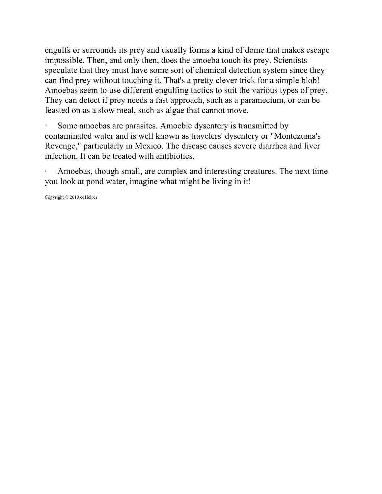engulfs or surrounds its prey and usually forms a kind of dome that makes escape impossible. Then, and only then, does the amoeba touch its prey. Scientists speculate that they must have some sort of chemical detection system since they can find prey without touching it. That's a pretty clever trick for a simple blob! Amoebas seem to use different engulfing tactics to suit the various types of prey. They can detect if prey needs a fast approach, such as a paramecium, or can be feasted on as a slow meal, such as algae that cannot move.

6 Some amoebas are parasites. Amoebic dysentery is transmitted by contaminated water and is well known as travelers' dysentery or "Montezuma's Revenge," particularly in Mexico. The disease causes severe diarrhea and liver infection. It can be treated with antibiotics.

7 Amoebas, though small, are complex and interesting creatures. The next time you look at pond water, imagine what might be living in it!

Copyright © 2010 edHelper